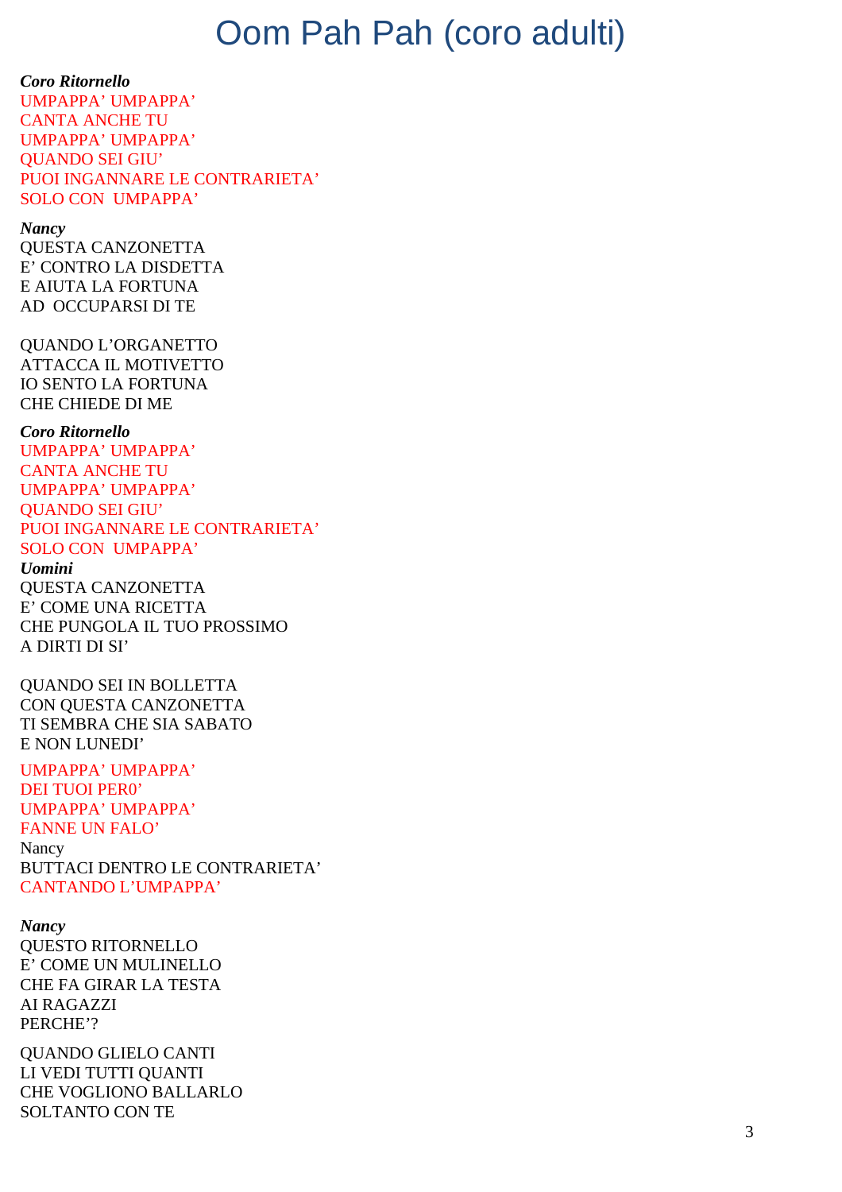# Oom Pah Pah (coro adulti)

**Coro Ritornello** UMPAPPA' UMPAPPA' **CANTA ANCHE TU** UMPAPPA' UMPAPPA' **QUANDO SEI GIU'** PUOI INGANNARE LE CONTRARIETA' SOLO CON UMPAPPA'

**Nancy QUESTA CANZONETTA** E' CONTRO LA DISDETTA E AIUTA LA FORTUNA AD OCCUPARSI DI TE

**OUANDO L'ORGANETTO ATTACCA IL MOTIVETTO IO SENTO LA FORTUNA CHE CHIEDE DI ME** 

**Coro Ritornello** UMPAPPA' UMPAPPA' **CANTA ANCHE TU UMPAPPA' UMPAPPA' OUANDO SEI GIU'** PUOI INGANNARE LE CONTRARIETA' **SOLO CON UMPAPPA'** *<u>Uomini</u>* **OUESTA CANZONETTA** E' COME UNA RICETTA

CHE PUNGOLA IL TUO PROSSIMO A DIRTI DI SI' **OUANDO SEI IN BOLLETTA** 

CON OUESTA CANZONETTA TI SEMBRA CHE SIA SABATO E NON LUNEDI'

UMPAPPA' UMPAPPA' **DEI TUOI PERO'** UMPAPPA' UMPAPPA' **FANNE UN FALO'** Nancy **BUTTACI DENTRO LE CONTRARIETA' CANTANDO L'UMPAPPA'** 

**Nancy QUESTO RITORNELLO** E' COME UN MULINELLO **CHE FA GIRAR LA TESTA AI RAGAZZI** PERCHE'?

**QUANDO GLIELO CANTI** LI VEDI TUTTI OUANTI **CHE VOGLIONO BALLARLO SOLTANTO CON TE**